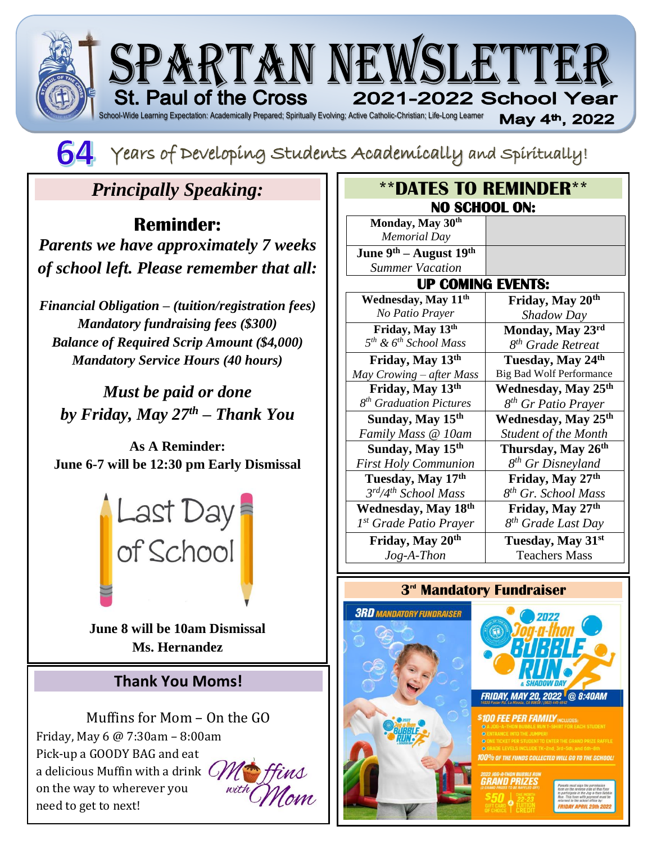



# *Principally Speaking:*

## **Reminder:**

*Parents we have approximately 7 weeks of school left. Please remember that all:*

*Financial Obligation – (tuition/registration fees) Mandatory fundraising fees (\$300) Balance of Required Scrip Amount (\$4,000) Mandatory Service Hours (40 hours)*

*Must be paid or done by Friday, May 27th – Thank You*

**As A Reminder: June 6-7 will be 12:30 pm Early Dismissal**



**June 8 will be 10am Dismissal Ms. Hernandez**

### **Thank You Moms!**

Muffins for Mom – On the GO Friday, May 6 @ 7:30am – 8:00am Pick-up a GOODY BAG and eat a delicious Muffin with a drink  $\mathcal{C}$ on the way to wherever you need to get to next!

:



| <b><i>**DATES TO REMINDER**</i></b> |                                 |
|-------------------------------------|---------------------------------|
| <b>NO SCHOOL ON:</b>                |                                 |
| Monday, May 30th                    |                                 |
| <b>Memorial Day</b>                 |                                 |
| June $9th$ – August $19th$          |                                 |
| <b>Summer Vacation</b>              |                                 |
| <b>UP COMING EVENTS:</b>            |                                 |
| Wednesday, May 11 <sup>th</sup>     | Friday, May 20th                |
| No Patio Prayer                     | Shadow Day                      |
| Friday, May 13th                    | Monday, May 23rd                |
| $5^{th}$ & $6^{th}$ School Mass     | 8 <sup>th</sup> Grade Retreat   |
| Friday, May 13th                    | Tuesday, May 24th               |
| May Crowing - after Mass            | <b>Big Bad Wolf Performance</b> |
| Friday, May 13th                    | Wednesday, May 25 <sup>th</sup> |
| 8 <sup>th</sup> Graduation Pictures | 8 <sup>th</sup> Gr Patio Prayer |
| Sunday, May 15 <sup>th</sup>        | Wednesday, May 25 <sup>th</sup> |
| Family Mass @ 10am                  | <b>Student of the Month</b>     |
| Sunday, May 15 <sup>th</sup>        | Thursday, May 26 <sup>th</sup>  |
| <b>First Holy Communion</b>         | 8 <sup>th</sup> Gr Disneyland   |
| Tuesday, May 17th                   | Friday, May 27th                |
| 3rd/4th School Mass                 | 8 <sup>th</sup> Gr. School Mass |
| Wednesday, May 18th                 | Friday, May 27th                |
| 1 <sup>st</sup> Grade Patio Prayer  | 8 <sup>th</sup> Grade Last Day  |
| Friday, May 20th                    | Tuesday, May 31st               |
| $Jog-A-Then$                        | <b>Teachers Mass</b>            |

### **3 rd Mandatory Fundraiser**





**00% OF THE FUNDS COLLECTED WILL GO TO** 1